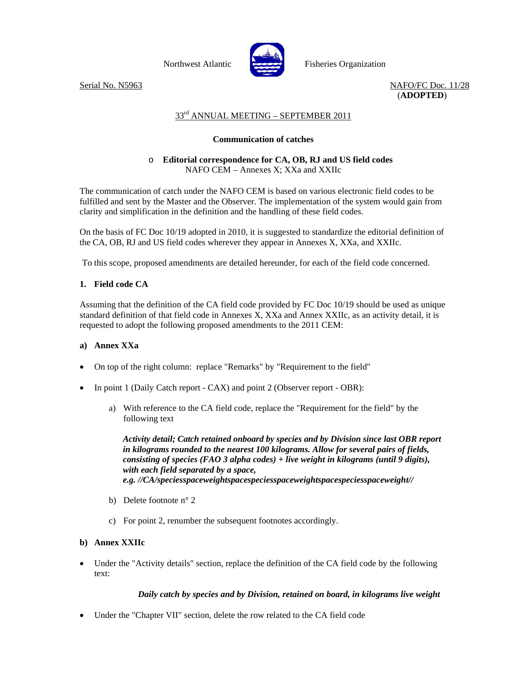

Northwest Atlantic Fisheries Organization

Serial No. N5963 NAFO/FC Doc. 11/28 (**ADOPTED**)

# 33rd ANNUAL MEETING – SEPTEMBER 2011

# **Communication of catches**

# o **Editorial correspondence for CA, OB, RJ and US field codes**  NAFO CEM – Annexes X; XXa and XXIIc

The communication of catch under the NAFO CEM is based on various electronic field codes to be fulfilled and sent by the Master and the Observer. The implementation of the system would gain from clarity and simplification in the definition and the handling of these field codes.

On the basis of FC Doc 10/19 adopted in 2010, it is suggested to standardize the editorial definition of the CA, OB, RJ and US field codes wherever they appear in Annexes X, XXa, and XXIIc.

To this scope, proposed amendments are detailed hereunder, for each of the field code concerned.

# **1. Field code CA**

Assuming that the definition of the CA field code provided by FC Doc 10/19 should be used as unique standard definition of that field code in Annexes X, XXa and Annex XXIIc, as an activity detail, it is requested to adopt the following proposed amendments to the 2011 CEM:

### **a) Annex XXa**

- On top of the right column: replace "Remarks" by "Requirement to the field"
- In point 1 (Daily Catch report CAX) and point 2 (Observer report OBR):
	- a) With reference to the CA field code, replace the "Requirement for the field" by the following text

*Activity detail; Catch retained onboard by species and by Division since last OBR report in kilograms rounded to the nearest 100 kilograms. Allow for several pairs of fields, consisting of species (FAO 3 alpha codes) + live weight in kilograms (until 9 digits), with each field separated by a space, e.g. //CA/speciesspaceweightspacespeciesspaceweightspacespeciesspaceweight//*

- b) Delete footnote n° 2
- c) For point 2, renumber the subsequent footnotes accordingly.

### **b) Annex XXIIc**

• Under the "Activity details" section, replace the definition of the CA field code by the following text:

### *Daily catch by species and by Division, retained on board, in kilograms live weight*

• Under the "Chapter VII" section, delete the row related to the CA field code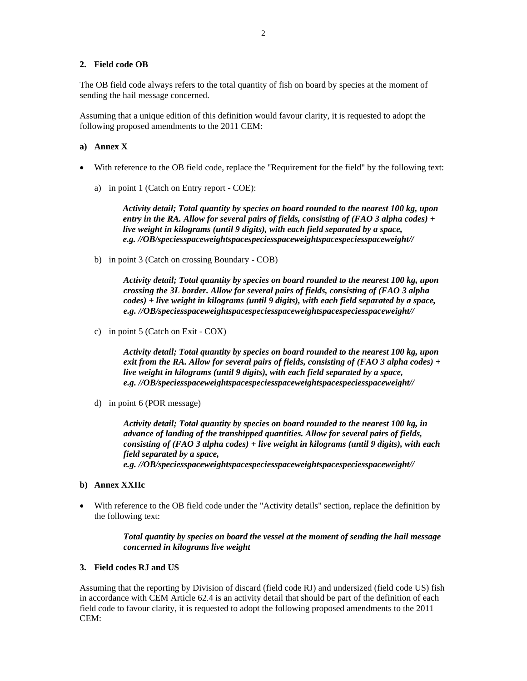#### **2. Field code OB**

The OB field code always refers to the total quantity of fish on board by species at the moment of sending the hail message concerned.

Assuming that a unique edition of this definition would favour clarity, it is requested to adopt the following proposed amendments to the 2011 CEM:

#### **a) Annex X**

- With reference to the OB field code, replace the "Requirement for the field" by the following text:
	- a) in point 1 (Catch on Entry report COE):

*Activity detail; Total quantity by species on board rounded to the nearest 100 kg, upon entry in the RA. Allow for several pairs of fields, consisting of (FAO 3 alpha codes) + live weight in kilograms (until 9 digits), with each field separated by a space, e.g. //OB/speciesspaceweightspacespeciesspaceweightspacespeciesspaceweight//*

b) in point 3 (Catch on crossing Boundary - COB)

*Activity detail; Total quantity by species on board rounded to the nearest 100 kg, upon crossing the 3L border. Allow for several pairs of fields, consisting of (FAO 3 alpha codes) + live weight in kilograms (until 9 digits), with each field separated by a space, e.g. //OB/speciesspaceweightspacespeciesspaceweightspacespeciesspaceweight//*

c) in point 5 (Catch on Exit - COX)

*Activity detail; Total quantity by species on board rounded to the nearest 100 kg, upon exit from the RA. Allow for several pairs of fields, consisting of (FAO 3 alpha codes) + live weight in kilograms (until 9 digits), with each field separated by a space, e.g. //OB/speciesspaceweightspacespeciesspaceweightspacespeciesspaceweight//*

d) in point 6 (POR message)

*Activity detail; Total quantity by species on board rounded to the nearest 100 kg, in advance of landing of the transhipped quantities. Allow for several pairs of fields, consisting of (FAO 3 alpha codes) + live weight in kilograms (until 9 digits), with each field separated by a space, e.g. //OB/speciesspaceweightspacespeciesspaceweightspacespeciesspaceweight//*

- **b) Annex XXIIc**
- With reference to the OB field code under the "Activity details" section, replace the definition by the following text:

#### *Total quantity by species on board the vessel at the moment of sending the hail message concerned in kilograms live weight*

#### **3. Field codes RJ and US**

Assuming that the reporting by Division of discard (field code RJ) and undersized (field code US) fish in accordance with CEM Article 62.4 is an activity detail that should be part of the definition of each field code to favour clarity, it is requested to adopt the following proposed amendments to the 2011 CEM: